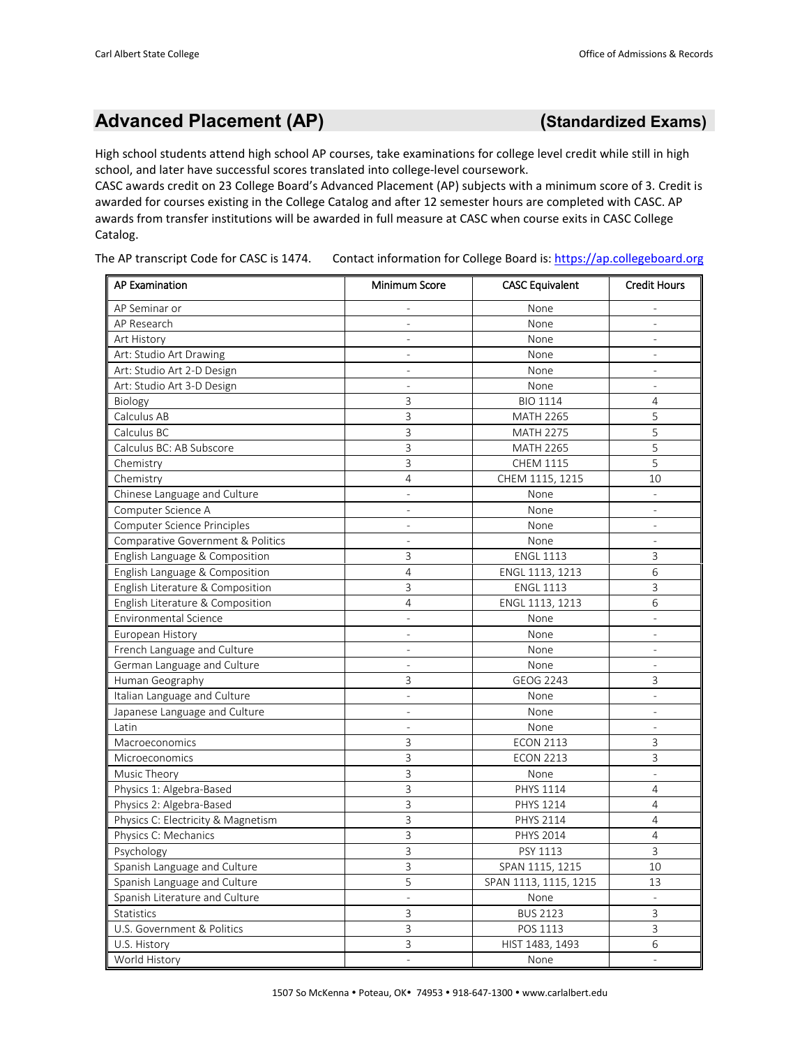## **Advanced Placement (AP) (Standardized Exams)**

High school students attend high school AP courses, take examinations for college level credit while still in high school, and later have successful scores translated into college-level coursework.

CASC awards credit on 23 College Board's Advanced Placement (AP) subjects with a minimum score of 3. Credit is awarded for courses existing in the College Catalog and after 12 semester hours are completed with CASC. AP awards from transfer institutions will be awarded in full measure at CASC when course exits in CASC College Catalog.

The AP transcript Code for CASC is 1474. Contact information for College Board is: [https://ap.collegeboard.org](https://ap.collegeboard.org/)

| <b>AP Examination</b>              | <b>Minimum Score</b>     | <b>CASC Equivalent</b> | <b>Credit Hours</b>      |
|------------------------------------|--------------------------|------------------------|--------------------------|
| AP Seminar or                      | $\overline{\phantom{a}}$ | None                   |                          |
| AP Research                        | $\overline{a}$           | None                   |                          |
| Art History                        |                          | None                   |                          |
| Art: Studio Art Drawing            | $\overline{a}$           | None                   |                          |
| Art: Studio Art 2-D Design         | $\overline{\phantom{0}}$ | None                   |                          |
| Art: Studio Art 3-D Design         |                          | None                   |                          |
| Biology                            | 3                        | <b>BIO 1114</b>        | 4                        |
| Calculus AB                        | 3                        | <b>MATH 2265</b>       | 5                        |
| Calculus BC                        | 3                        | <b>MATH 2275</b>       | 5                        |
| Calculus BC: AB Subscore           | 3                        | <b>MATH 2265</b>       | 5                        |
| Chemistry                          | 3                        | CHEM 1115              | 5                        |
| Chemistry                          | 4                        | CHEM 1115, 1215        | 10                       |
| Chinese Language and Culture       | $\overline{a}$           | None                   |                          |
| Computer Science A                 | $\overline{a}$           | None                   | $\bar{\phantom{a}}$      |
| Computer Science Principles        | $\bar{\phantom{a}}$      | None                   | $\bar{\phantom{a}}$      |
| Comparative Government & Politics  | $\overline{\phantom{0}}$ | None                   | $\bar{\phantom{a}}$      |
| English Language & Composition     | 3                        | <b>ENGL 1113</b>       | 3                        |
| English Language & Composition     | 4                        | ENGL 1113, 1213        | 6                        |
| English Literature & Composition   | 3                        | <b>ENGL 1113</b>       | 3                        |
| English Literature & Composition   | 4                        | ENGL 1113, 1213        | 6                        |
| <b>Environmental Science</b>       | $\overline{\phantom{a}}$ | None                   | $\overline{\phantom{a}}$ |
| European History                   | $\overline{\phantom{0}}$ | None                   | $\overline{\phantom{a}}$ |
| French Language and Culture        | $\overline{a}$           | None                   | $\frac{1}{2}$            |
| German Language and Culture        | $\bar{\phantom{a}}$      | None                   | $\overline{a}$           |
| Human Geography                    | 3                        | GEOG 2243              | 3                        |
| Italian Language and Culture       |                          | None                   |                          |
| Japanese Language and Culture      |                          | None                   |                          |
| Latin                              | $\overline{\phantom{0}}$ | None                   |                          |
| Macroeconomics                     | 3                        | <b>ECON 2113</b>       | 3                        |
| Microeconomics                     | 3                        | <b>ECON 2213</b>       | 3                        |
| Music Theory                       | 3                        | None                   | $\overline{a}$           |
| Physics 1: Algebra-Based           | 3                        | PHYS 1114              | 4                        |
| Physics 2: Algebra-Based           | 3                        | PHYS 1214              | 4                        |
| Physics C: Electricity & Magnetism | 3                        | PHYS 2114              | 4                        |
| Physics C: Mechanics               | 3                        | PHYS 2014              | 4                        |
| Psychology                         | 3                        | PSY 1113               | 3                        |
| Spanish Language and Culture       | 3                        | SPAN 1115, 1215        | $10\,$                   |
| Spanish Language and Culture       | 5                        | SPAN 1113, 1115, 1215  | 13                       |
| Spanish Literature and Culture     | $\overline{\phantom{a}}$ | None                   | $\overline{\phantom{a}}$ |
| Statistics                         | 3                        | <b>BUS 2123</b>        | 3                        |
| U.S. Government & Politics         | $\mathsf{3}$             | POS 1113               | 3                        |
| U.S. History                       | 3                        | HIST 1483, 1493        | 6                        |
| World History                      | $\overline{\phantom{a}}$ | None                   |                          |